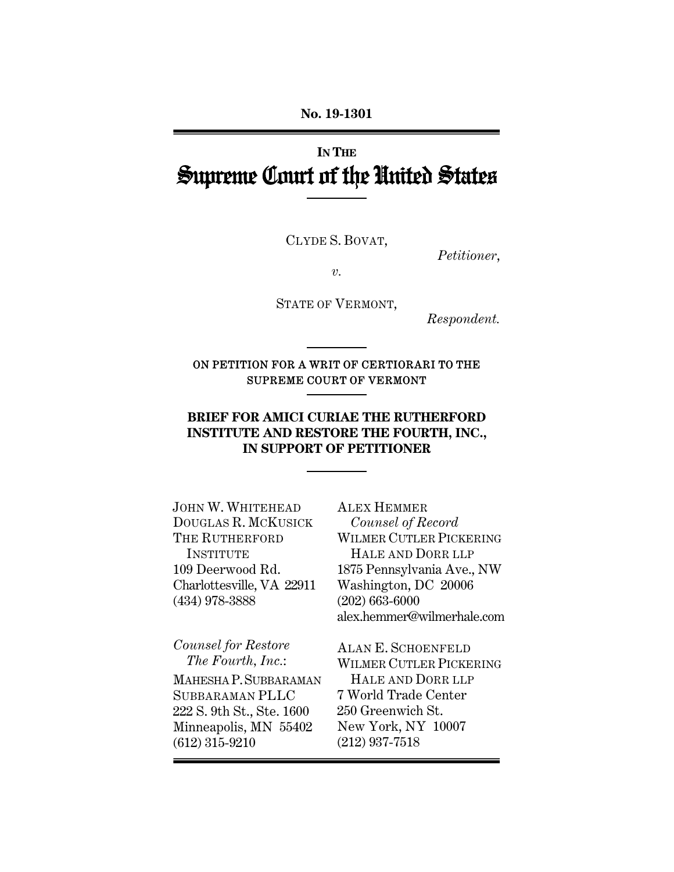**No. 19-1301** 

# **IN THE** Supreme Court of the United States

CLYDE S. BOVAT,

*Petitioner*,

*v.* 

STATE OF VERMONT,

*Respondent.* 

## ON PETITION FOR A WRIT OF CERTIORARI TO THE SUPREME COURT OF VERMONT

## **BRIEF FOR AMICI CURIAE THE RUTHERFORD INSTITUTE AND RESTORE THE FOURTH, INC., IN SUPPORT OF PETITIONER**

JOHN W. WHITEHEAD DOUGLAS R. MCKUSICK THE RUTHERFORD INSTITUTE 109 Deerwood Rd. Charlottesville, VA 22911 (434) 978-3888

*Counsel for Restore The Fourth, Inc.*:

MAHESHA P.SUBBARAMAN SUBBARAMAN PLLC 222 S. 9th St., Ste. 1600 Minneapolis, MN 55402 (612) 315-9210

ALEX HEMMER *Counsel of Record* WILMER CUTLER PICKERING HALE AND DORR LLP 1875 Pennsylvania Ave., NW Washington, DC 20006 (202) 663-6000 alex.hemmer@wilmerhale.com

ALAN E. SCHOENFELD WILMER CUTLER PICKERING HALE AND DORR LLP 7 World Trade Center 250 Greenwich St. New York, NY 10007 (212) 937-7518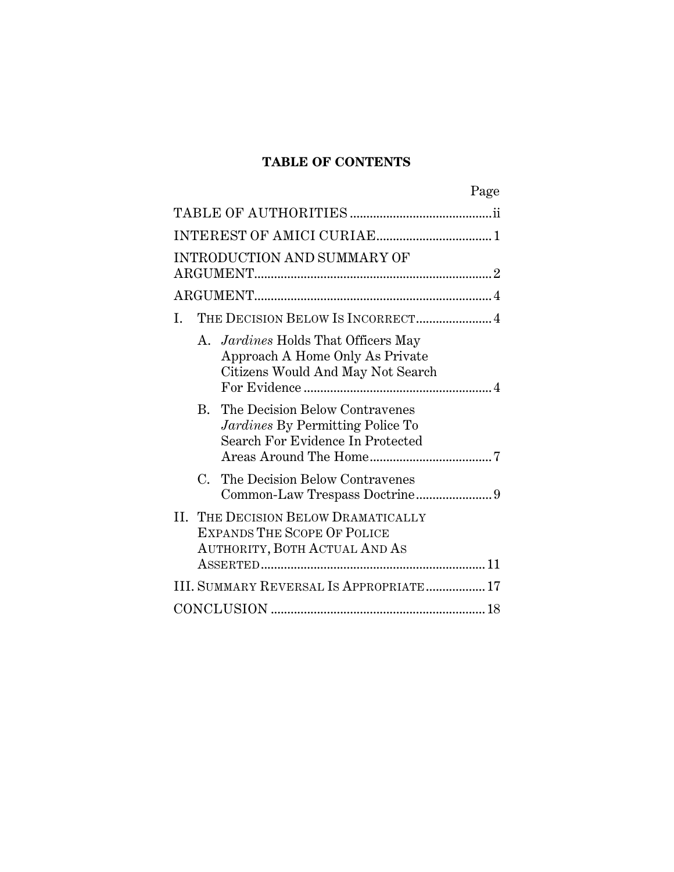## **TABLE OF CONTENTS**

| Page                                                                                                               |  |  |
|--------------------------------------------------------------------------------------------------------------------|--|--|
|                                                                                                                    |  |  |
|                                                                                                                    |  |  |
| INTRODUCTION AND SUMMARY OF                                                                                        |  |  |
|                                                                                                                    |  |  |
| THE DECISION BELOW IS INCORRECT 4<br>L.                                                                            |  |  |
| A. <i>Jardines</i> Holds That Officers May<br>Approach A Home Only As Private<br>Citizens Would And May Not Search |  |  |
| <b>B.</b> The Decision Below Contravenes<br>Jardines By Permitting Police To<br>Search For Evidence In Protected   |  |  |
| $C_{\cdot}$<br>The Decision Below Contravenes                                                                      |  |  |
| II. THE DECISION BELOW DRAMATICALLY<br><b>EXPANDS THE SCOPE OF POLICE</b><br>AUTHORITY, BOTH ACTUAL AND AS         |  |  |
| III. SUMMARY REVERSAL IS APPROPRIATE 17                                                                            |  |  |
|                                                                                                                    |  |  |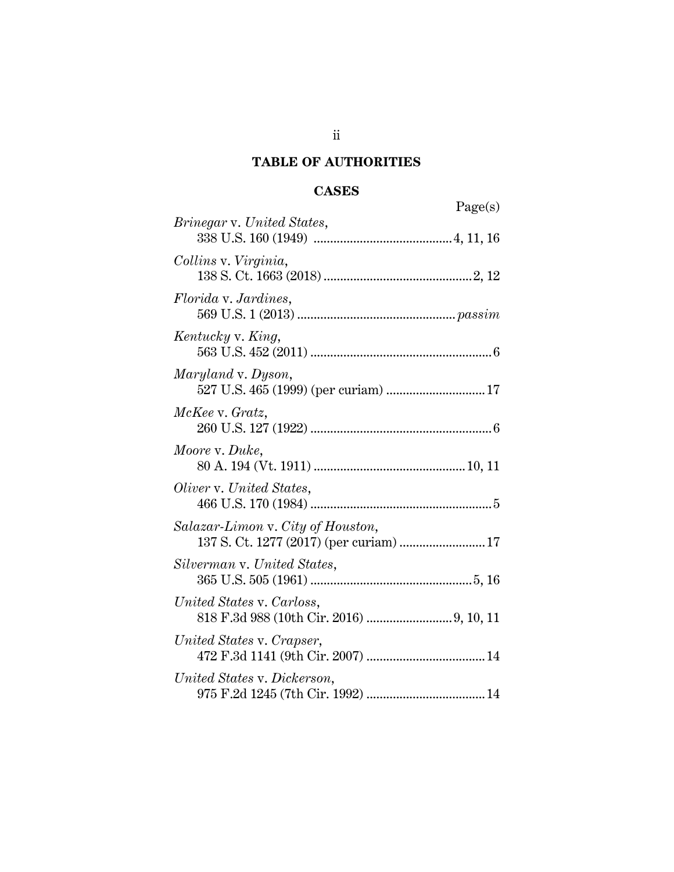## **TABLE OF AUTHORITIES**

## **CASES**

| Page(s)                                                                      |
|------------------------------------------------------------------------------|
| <i>Brinegar v. United States,</i>                                            |
| Collins v. Virginia,                                                         |
| <i>Florida v. Jardines,</i>                                                  |
| Kentucky v. King,                                                            |
| Maryland v. Dyson,<br>527 U.S. 465 (1999) (per curiam)  17                   |
| McKee v. Gratz,                                                              |
| Moore v. Duke,                                                               |
| Oliver v. United States,                                                     |
| Salazar-Limon v. City of Houston,<br>137 S. Ct. 1277 (2017) (per curiam)  17 |
| Silverman v. United States,                                                  |
| United States v. Carloss,                                                    |
| United States v. Crapser,                                                    |
| United States v. Dickerson,                                                  |

ii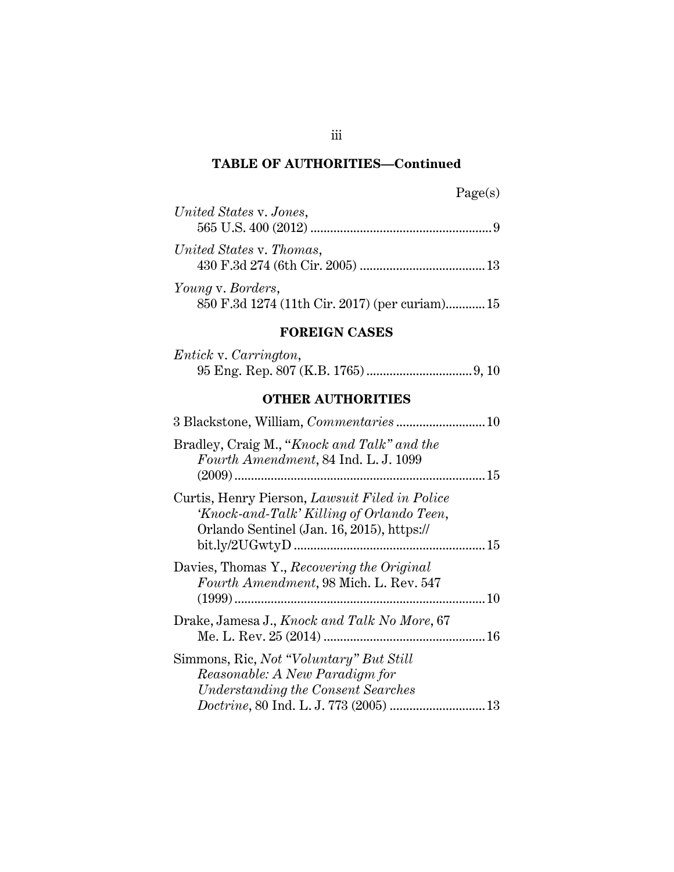## **TABLE OF AUTHORITIES—Continued**

| United States v. Jones,  |
|--------------------------|
|                          |
| United States v. Thomas, |
|                          |
| Young v. Borders,        |

## 850 F.3d 1274 (11th Cir. 2017) (per curiam)............ 15

## **FOREIGN CASES**

| <i>Entick v. Carrington,</i> |  |
|------------------------------|--|
|                              |  |

## **OTHER AUTHORITIES**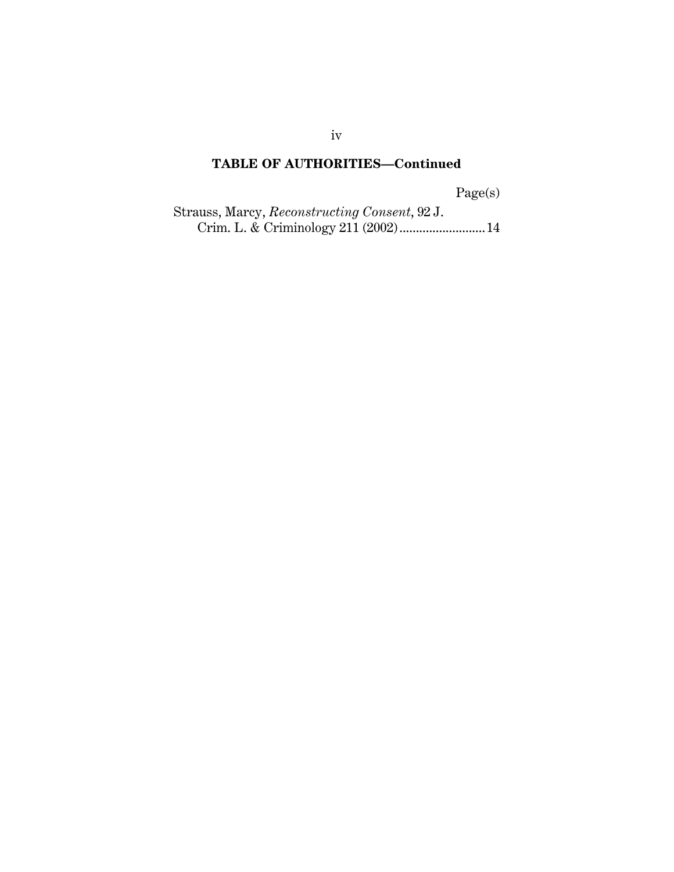## **TABLE OF AUTHORITIES—Continued**

Page(s)

Strauss, Marcy, *Reconstructing Consent*, 92 J. Crim. L. & Criminology 211 (2002) .......................... 14

iv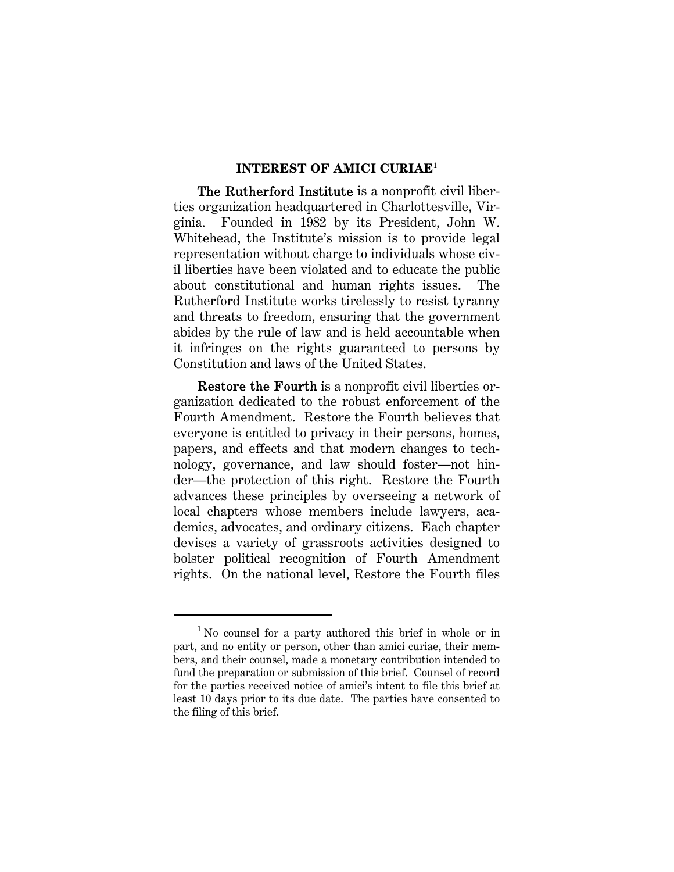#### **INTEREST OF AMICI CURIAE**<sup>1</sup>

The Rutherford Institute is a nonprofit civil liberties organization headquartered in Charlottesville, Virginia. Founded in 1982 by its President, John W. Whitehead, the Institute's mission is to provide legal representation without charge to individuals whose civil liberties have been violated and to educate the public about constitutional and human rights issues. The Rutherford Institute works tirelessly to resist tyranny and threats to freedom, ensuring that the government abides by the rule of law and is held accountable when it infringes on the rights guaranteed to persons by Constitution and laws of the United States.

Restore the Fourth is a nonprofit civil liberties organization dedicated to the robust enforcement of the Fourth Amendment. Restore the Fourth believes that everyone is entitled to privacy in their persons, homes, papers, and effects and that modern changes to technology, governance, and law should foster—not hinder—the protection of this right. Restore the Fourth advances these principles by overseeing a network of local chapters whose members include lawyers, academics, advocates, and ordinary citizens. Each chapter devises a variety of grassroots activities designed to bolster political recognition of Fourth Amendment rights. On the national level, Restore the Fourth files

<sup>&</sup>lt;sup>1</sup> No counsel for a party authored this brief in whole or in part, and no entity or person, other than amici curiae, their members, and their counsel, made a monetary contribution intended to fund the preparation or submission of this brief. Counsel of record for the parties received notice of amici's intent to file this brief at least 10 days prior to its due date. The parties have consented to the filing of this brief.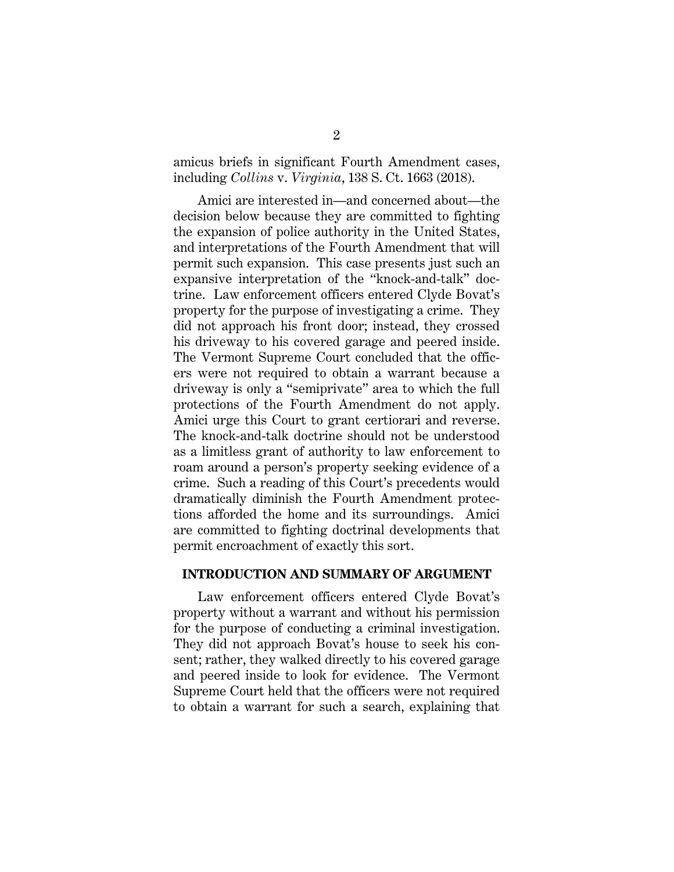amicus briefs in significant Fourth Amendment cases, including *Collins* v. *Virginia*, 138 S. Ct. 1663 (2018).

Amici are interested in—and concerned about—the decision below because they are committed to fighting the expansion of police authority in the United States, and interpretations of the Fourth Amendment that will permit such expansion. This case presents just such an expansive interpretation of the "knock-and-talk" doctrine. Law enforcement officers entered Clyde Bovat's property for the purpose of investigating a crime. They did not approach his front door; instead, they crossed his driveway to his covered garage and peered inside. The Vermont Supreme Court concluded that the officers were not required to obtain a warrant because a driveway is only a "semiprivate" area to which the full protections of the Fourth Amendment do not apply. Amici urge this Court to grant certiorari and reverse. The knock-and-talk doctrine should not be understood as a limitless grant of authority to law enforcement to roam around a person's property seeking evidence of a crime. Such a reading of this Court's precedents would dramatically diminish the Fourth Amendment protections afforded the home and its surroundings. Amici are committed to fighting doctrinal developments that permit encroachment of exactly this sort.

#### **INTRODUCTION AND SUMMARY OF ARGUMENT**

Law enforcement officers entered Clyde Bovat's property without a warrant and without his permission for the purpose of conducting a criminal investigation. They did not approach Bovat's house to seek his consent; rather, they walked directly to his covered garage and peered inside to look for evidence. The Vermont Supreme Court held that the officers were not required to obtain a warrant for such a search, explaining that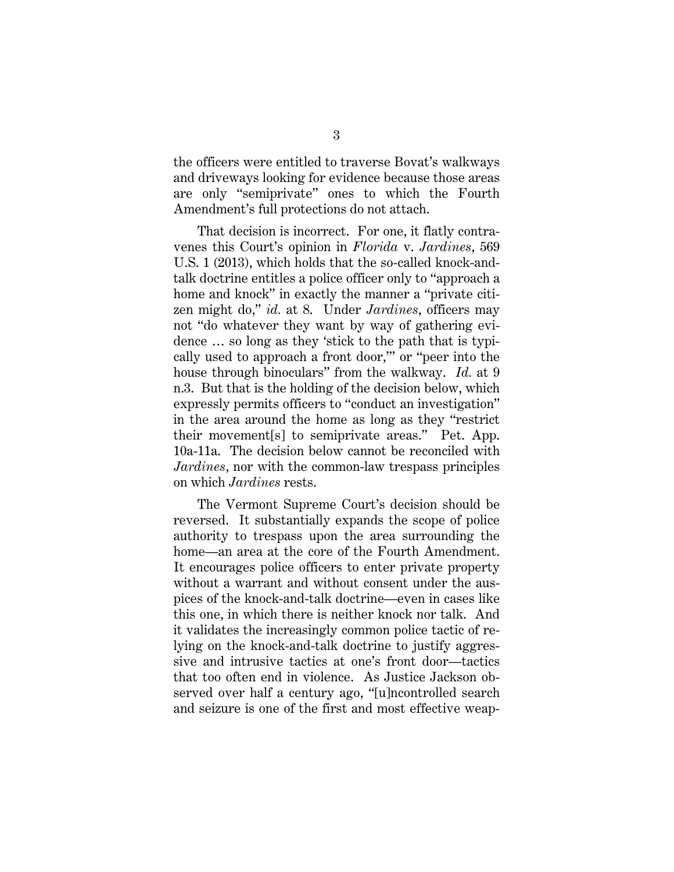the officers were entitled to traverse Bovat's walkways and driveways looking for evidence because those areas are only "semiprivate" ones to which the Fourth Amendment's full protections do not attach.

That decision is incorrect. For one, it flatly contravenes this Court's opinion in *Florida* v. *Jardines*, 569 U.S. 1 (2013), which holds that the so-called knock-andtalk doctrine entitles a police officer only to "approach a home and knock" in exactly the manner a "private citizen might do," *id.* at 8. Under *Jardines*, officers may not "do whatever they want by way of gathering evidence … so long as they 'stick to the path that is typically used to approach a front door,'" or "peer into the house through binoculars" from the walkway. *Id.* at 9 n.3. But that is the holding of the decision below, which expressly permits officers to "conduct an investigation" in the area around the home as long as they "restrict their movement[s] to semiprivate areas." Pet. App. 10a-11a. The decision below cannot be reconciled with *Jardines*, nor with the common-law trespass principles on which *Jardines* rests.

The Vermont Supreme Court's decision should be reversed. It substantially expands the scope of police authority to trespass upon the area surrounding the home—an area at the core of the Fourth Amendment. It encourages police officers to enter private property without a warrant and without consent under the auspices of the knock-and-talk doctrine—even in cases like this one, in which there is neither knock nor talk. And it validates the increasingly common police tactic of relying on the knock-and-talk doctrine to justify aggressive and intrusive tactics at one's front door—tactics that too often end in violence. As Justice Jackson observed over half a century ago, "[u]ncontrolled search and seizure is one of the first and most effective weap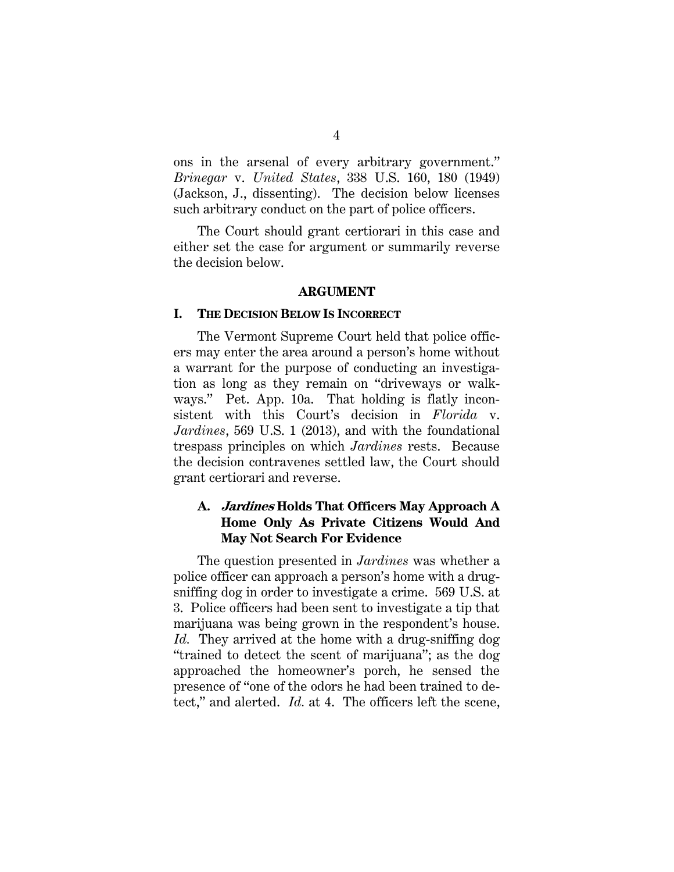ons in the arsenal of every arbitrary government." *Brinegar* v. *United States*, 338 U.S. 160, 180 (1949) (Jackson, J., dissenting). The decision below licenses such arbitrary conduct on the part of police officers.

The Court should grant certiorari in this case and either set the case for argument or summarily reverse the decision below.

#### **ARGUMENT**

#### **I. THE DECISION BELOW IS INCORRECT**

The Vermont Supreme Court held that police officers may enter the area around a person's home without a warrant for the purpose of conducting an investigation as long as they remain on "driveways or walkways." Pet. App. 10a. That holding is flatly inconsistent with this Court's decision in *Florida* v. *Jardines*, 569 U.S. 1 (2013), and with the foundational trespass principles on which *Jardines* rests. Because the decision contravenes settled law, the Court should grant certiorari and reverse.

### **A. Jardines Holds That Officers May Approach A Home Only As Private Citizens Would And May Not Search For Evidence**

The question presented in *Jardines* was whether a police officer can approach a person's home with a drugsniffing dog in order to investigate a crime. 569 U.S. at 3. Police officers had been sent to investigate a tip that marijuana was being grown in the respondent's house. *Id.* They arrived at the home with a drug-sniffing dog "trained to detect the scent of marijuana"; as the dog approached the homeowner's porch, he sensed the presence of "one of the odors he had been trained to detect," and alerted. *Id.* at 4. The officers left the scene,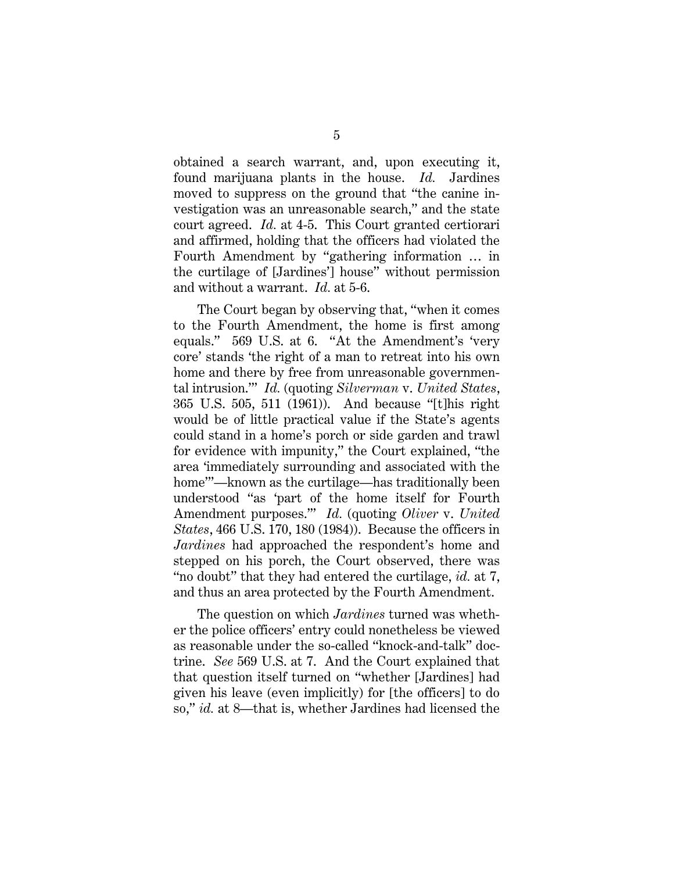obtained a search warrant, and, upon executing it, found marijuana plants in the house. *Id.* Jardines moved to suppress on the ground that "the canine investigation was an unreasonable search," and the state court agreed. *Id.* at 4-5. This Court granted certiorari and affirmed, holding that the officers had violated the Fourth Amendment by "gathering information … in the curtilage of [Jardines'] house" without permission and without a warrant. *Id.* at 5-6.

The Court began by observing that, "when it comes to the Fourth Amendment, the home is first among equals." 569 U.S. at 6. "At the Amendment's 'very core' stands 'the right of a man to retreat into his own home and there by free from unreasonable governmental intrusion.'" *Id.* (quoting *Silverman* v. *United States*, 365 U.S. 505, 511 (1961)). And because "[t]his right would be of little practical value if the State's agents could stand in a home's porch or side garden and trawl for evidence with impunity," the Court explained, "the area 'immediately surrounding and associated with the home'"—known as the curtilage—has traditionally been understood "as 'part of the home itself for Fourth Amendment purposes.'" *Id.* (quoting *Oliver* v. *United States*, 466 U.S. 170, 180 (1984)). Because the officers in *Jardines* had approached the respondent's home and stepped on his porch, the Court observed, there was "no doubt" that they had entered the curtilage, *id.* at 7, and thus an area protected by the Fourth Amendment.

The question on which *Jardines* turned was whether the police officers' entry could nonetheless be viewed as reasonable under the so-called "knock-and-talk" doctrine. *See* 569 U.S. at 7. And the Court explained that that question itself turned on "whether [Jardines] had given his leave (even implicitly) for [the officers] to do so," *id.* at 8—that is, whether Jardines had licensed the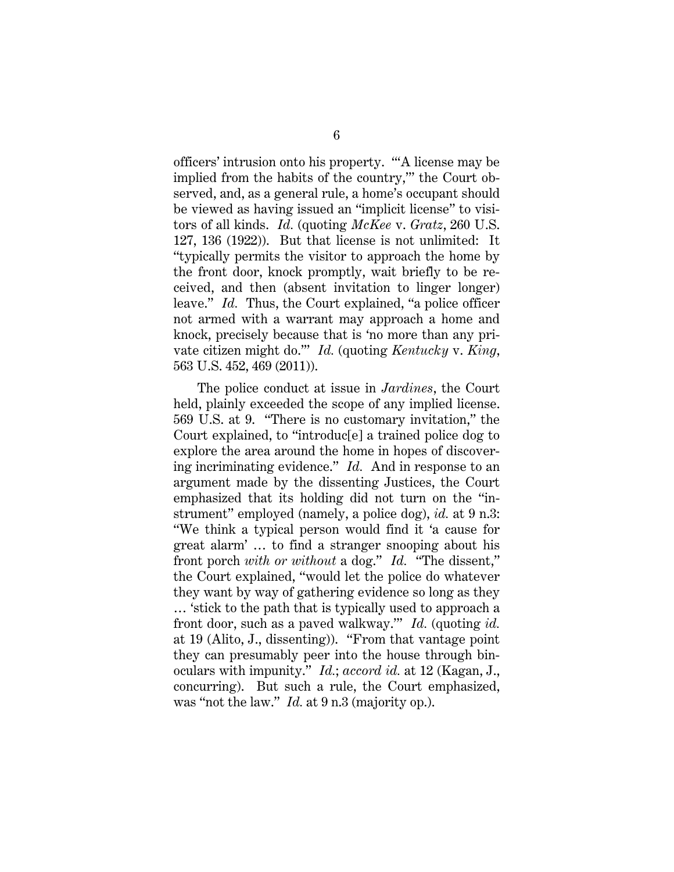officers' intrusion onto his property. "'A license may be implied from the habits of the country," the Court observed, and, as a general rule, a home's occupant should be viewed as having issued an "implicit license" to visitors of all kinds. *Id.* (quoting *McKee* v. *Gratz*, 260 U.S. 127, 136 (1922)). But that license is not unlimited: It "typically permits the visitor to approach the home by the front door, knock promptly, wait briefly to be received, and then (absent invitation to linger longer) leave." *Id.* Thus, the Court explained, "a police officer not armed with a warrant may approach a home and knock, precisely because that is 'no more than any private citizen might do.'" *Id.* (quoting *Kentucky* v. *King*, 563 U.S. 452, 469 (2011)).

The police conduct at issue in *Jardines*, the Court held, plainly exceeded the scope of any implied license. 569 U.S. at 9. "There is no customary invitation," the Court explained, to "introduc[e] a trained police dog to explore the area around the home in hopes of discovering incriminating evidence." *Id.* And in response to an argument made by the dissenting Justices, the Court emphasized that its holding did not turn on the "instrument" employed (namely, a police dog), *id.* at 9 n.3: "We think a typical person would find it 'a cause for great alarm' … to find a stranger snooping about his front porch *with or without* a dog." *Id.* "The dissent," the Court explained, "would let the police do whatever they want by way of gathering evidence so long as they … 'stick to the path that is typically used to approach a front door, such as a paved walkway.'" *Id.* (quoting *id.* at 19 (Alito, J., dissenting)). "From that vantage point they can presumably peer into the house through binoculars with impunity." *Id.*; *accord id.* at 12 (Kagan, J., concurring). But such a rule, the Court emphasized, was "not the law." *Id.* at 9 n.3 (majority op.).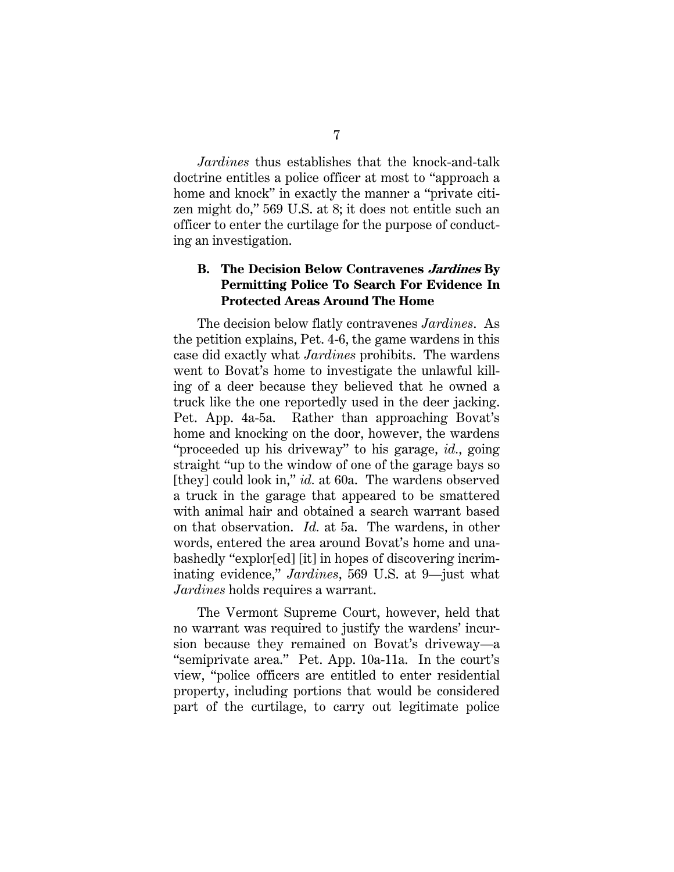*Jardines* thus establishes that the knock-and-talk doctrine entitles a police officer at most to "approach a home and knock" in exactly the manner a "private citizen might do," 569 U.S. at 8; it does not entitle such an officer to enter the curtilage for the purpose of conducting an investigation.

### **B. The Decision Below Contravenes Jardines By Permitting Police To Search For Evidence In Protected Areas Around The Home**

The decision below flatly contravenes *Jardines*. As the petition explains, Pet. 4-6, the game wardens in this case did exactly what *Jardines* prohibits. The wardens went to Bovat's home to investigate the unlawful killing of a deer because they believed that he owned a truck like the one reportedly used in the deer jacking. Pet. App. 4a-5a. Rather than approaching Bovat's home and knocking on the door, however, the wardens "proceeded up his driveway" to his garage, *id.*, going straight "up to the window of one of the garage bays so [they] could look in," *id.* at 60a. The wardens observed a truck in the garage that appeared to be smattered with animal hair and obtained a search warrant based on that observation. *Id.* at 5a. The wardens, in other words, entered the area around Bovat's home and unabashedly "explor[ed] [it] in hopes of discovering incriminating evidence," *Jardines*, 569 U.S. at 9—just what *Jardines* holds requires a warrant.

The Vermont Supreme Court, however, held that no warrant was required to justify the wardens' incursion because they remained on Bovat's driveway—a "semiprivate area." Pet. App. 10a-11a. In the court's view, "police officers are entitled to enter residential property, including portions that would be considered part of the curtilage, to carry out legitimate police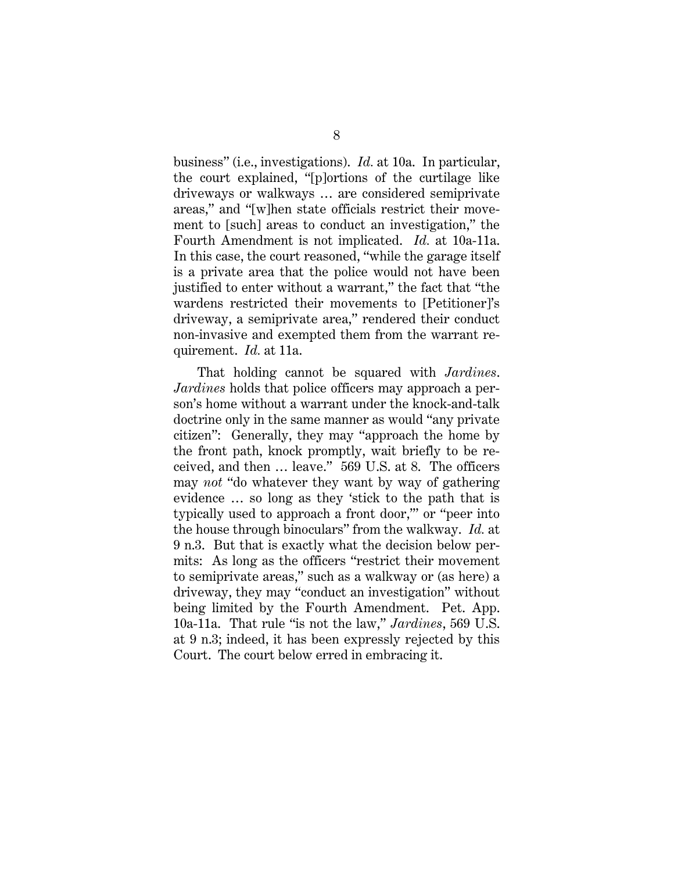business" (i.e., investigations). *Id.* at 10a. In particular, the court explained, "[p]ortions of the curtilage like driveways or walkways … are considered semiprivate areas," and "[w]hen state officials restrict their movement to [such] areas to conduct an investigation," the Fourth Amendment is not implicated. *Id.* at 10a-11a. In this case, the court reasoned, "while the garage itself is a private area that the police would not have been justified to enter without a warrant," the fact that "the wardens restricted their movements to [Petitioner]'s driveway, a semiprivate area," rendered their conduct non-invasive and exempted them from the warrant requirement. *Id.* at 11a.

That holding cannot be squared with *Jardines*. *Jardines* holds that police officers may approach a person's home without a warrant under the knock-and-talk doctrine only in the same manner as would "any private citizen": Generally, they may "approach the home by the front path, knock promptly, wait briefly to be received, and then … leave." 569 U.S. at 8. The officers may *not* "do whatever they want by way of gathering evidence … so long as they 'stick to the path that is typically used to approach a front door,'" or "peer into the house through binoculars" from the walkway. *Id.* at 9 n.3. But that is exactly what the decision below permits: As long as the officers "restrict their movement to semiprivate areas," such as a walkway or (as here) a driveway, they may "conduct an investigation" without being limited by the Fourth Amendment. Pet. App. 10a-11a. That rule "is not the law," *Jardines*, 569 U.S. at 9 n.3; indeed, it has been expressly rejected by this Court. The court below erred in embracing it.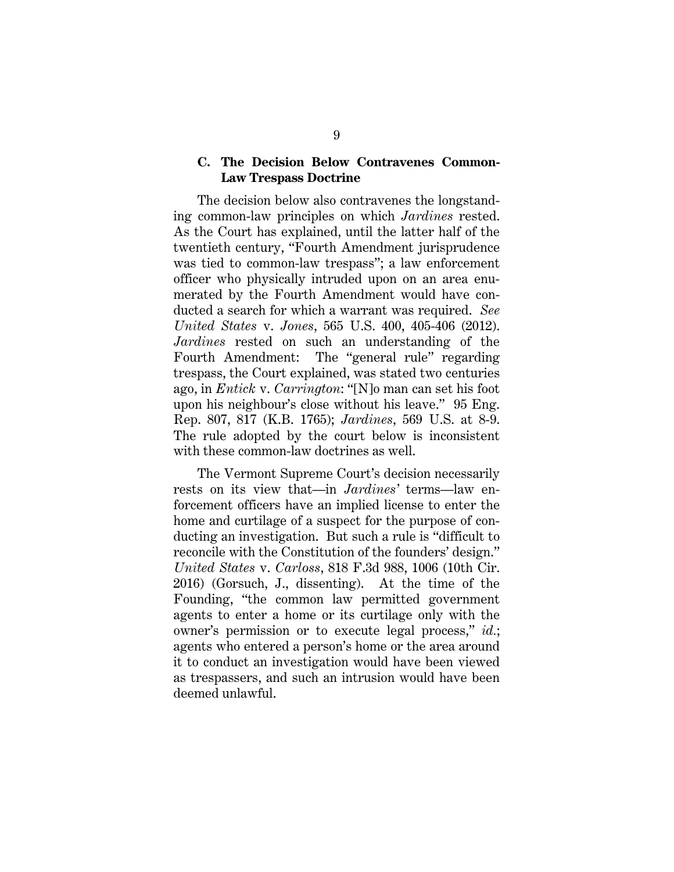#### **C. The Decision Below Contravenes Common-Law Trespass Doctrine**

The decision below also contravenes the longstanding common-law principles on which *Jardines* rested. As the Court has explained, until the latter half of the twentieth century, "Fourth Amendment jurisprudence was tied to common-law trespass"; a law enforcement officer who physically intruded upon on an area enumerated by the Fourth Amendment would have conducted a search for which a warrant was required. *See United States* v. *Jones*, 565 U.S. 400, 405-406 (2012). *Jardines* rested on such an understanding of the Fourth Amendment: The "general rule" regarding trespass, the Court explained, was stated two centuries ago, in *Entick* v. *Carrington*: "[N]o man can set his foot upon his neighbour's close without his leave." 95 Eng. Rep. 807, 817 (K.B. 1765); *Jardines*, 569 U.S. at 8-9. The rule adopted by the court below is inconsistent with these common-law doctrines as well.

The Vermont Supreme Court's decision necessarily rests on its view that—in *Jardines'* terms—law enforcement officers have an implied license to enter the home and curtilage of a suspect for the purpose of conducting an investigation. But such a rule is "difficult to reconcile with the Constitution of the founders' design." *United States* v. *Carloss*, 818 F.3d 988, 1006 (10th Cir. 2016) (Gorsuch, J., dissenting). At the time of the Founding, "the common law permitted government agents to enter a home or its curtilage only with the owner's permission or to execute legal process," *id.*; agents who entered a person's home or the area around it to conduct an investigation would have been viewed as trespassers, and such an intrusion would have been deemed unlawful.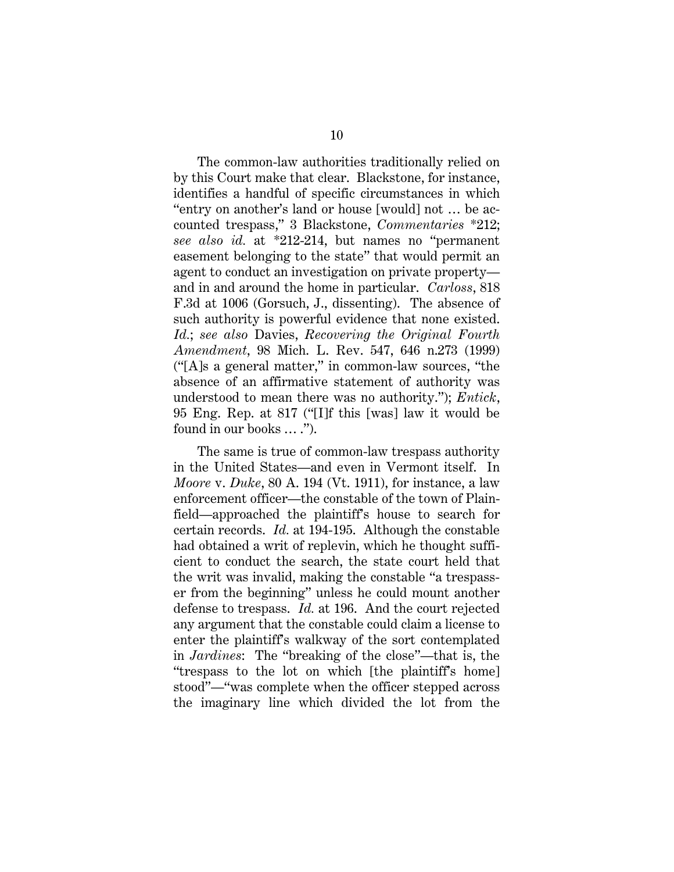The common-law authorities traditionally relied on by this Court make that clear. Blackstone, for instance, identifies a handful of specific circumstances in which "entry on another's land or house [would] not … be accounted trespass," 3 Blackstone, *Commentaries* \*212; *see also id.* at \*212-214, but names no "permanent easement belonging to the state" that would permit an agent to conduct an investigation on private property and in and around the home in particular. *Carloss*, 818 F.3d at 1006 (Gorsuch, J., dissenting). The absence of such authority is powerful evidence that none existed. *Id.*; *see also* Davies, *Recovering the Original Fourth Amendment*, 98 Mich. L. Rev. 547, 646 n.273 (1999) ("[A]s a general matter," in common-law sources, "the absence of an affirmative statement of authority was understood to mean there was no authority."); *Entick*, 95 Eng. Rep. at 817 ("[I]f this [was] law it would be found in our books … .").

The same is true of common-law trespass authority in the United States—and even in Vermont itself. In *Moore* v. *Duke*, 80 A. 194 (Vt. 1911), for instance, a law enforcement officer—the constable of the town of Plainfield—approached the plaintiff's house to search for certain records. *Id.* at 194-195. Although the constable had obtained a writ of replevin, which he thought sufficient to conduct the search, the state court held that the writ was invalid, making the constable "a trespasser from the beginning" unless he could mount another defense to trespass. *Id.* at 196. And the court rejected any argument that the constable could claim a license to enter the plaintiff's walkway of the sort contemplated in *Jardines*: The "breaking of the close"—that is, the "trespass to the lot on which [the plaintiff's home] stood"—"was complete when the officer stepped across the imaginary line which divided the lot from the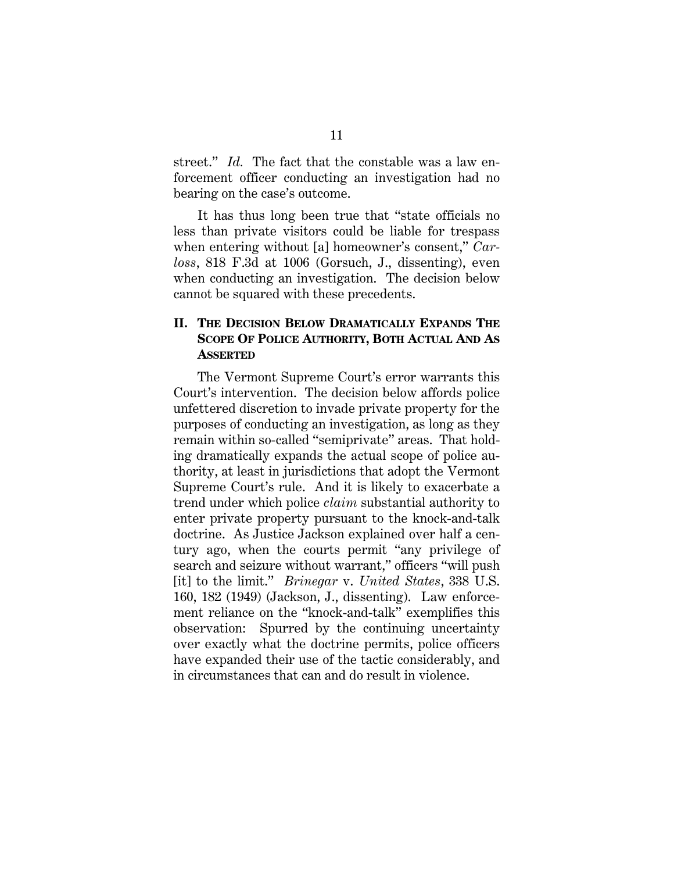street." *Id.* The fact that the constable was a law enforcement officer conducting an investigation had no bearing on the case's outcome.

It has thus long been true that "state officials no less than private visitors could be liable for trespass when entering without [a] homeowner's consent," *Carloss*, 818 F.3d at 1006 (Gorsuch, J., dissenting), even when conducting an investigation. The decision below cannot be squared with these precedents.

## **II. THE DECISION BELOW DRAMATICALLY EXPANDS THE SCOPE OF POLICE AUTHORITY, BOTH ACTUAL AND AS ASSERTED**

The Vermont Supreme Court's error warrants this Court's intervention. The decision below affords police unfettered discretion to invade private property for the purposes of conducting an investigation, as long as they remain within so-called "semiprivate" areas. That holding dramatically expands the actual scope of police authority, at least in jurisdictions that adopt the Vermont Supreme Court's rule. And it is likely to exacerbate a trend under which police *claim* substantial authority to enter private property pursuant to the knock-and-talk doctrine. As Justice Jackson explained over half a century ago, when the courts permit "any privilege of search and seizure without warrant," officers "will push [it] to the limit." *Brinegar* v. *United States*, 338 U.S. 160, 182 (1949) (Jackson, J., dissenting). Law enforcement reliance on the "knock-and-talk" exemplifies this observation: Spurred by the continuing uncertainty over exactly what the doctrine permits, police officers have expanded their use of the tactic considerably, and in circumstances that can and do result in violence.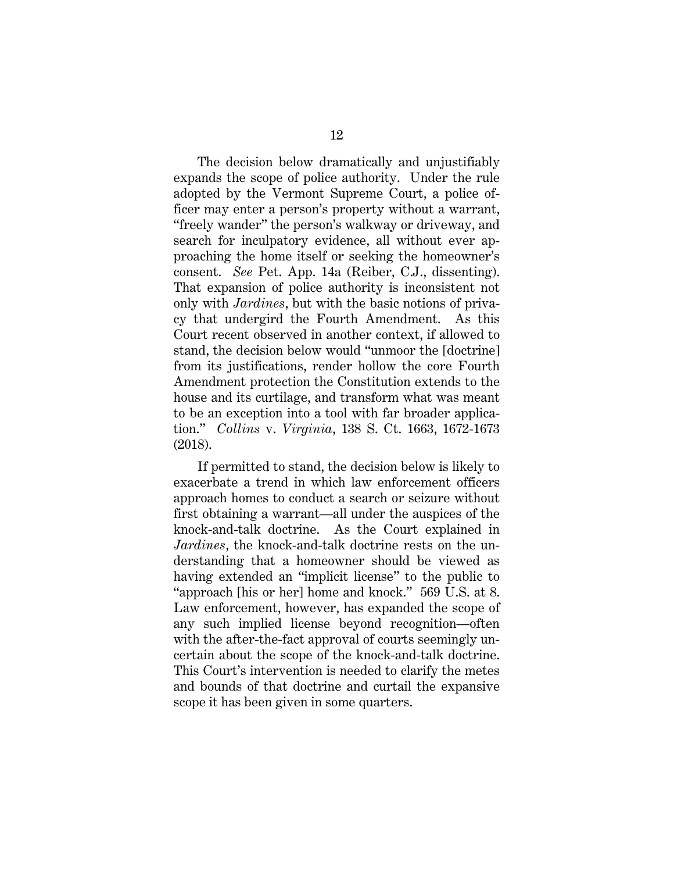The decision below dramatically and unjustifiably expands the scope of police authority. Under the rule adopted by the Vermont Supreme Court, a police officer may enter a person's property without a warrant, "freely wander" the person's walkway or driveway, and search for inculpatory evidence, all without ever approaching the home itself or seeking the homeowner's consent. *See* Pet. App. 14a (Reiber, C.J., dissenting). That expansion of police authority is inconsistent not only with *Jardines*, but with the basic notions of privacy that undergird the Fourth Amendment. As this Court recent observed in another context, if allowed to stand, the decision below would "unmoor the [doctrine] from its justifications, render hollow the core Fourth Amendment protection the Constitution extends to the house and its curtilage, and transform what was meant to be an exception into a tool with far broader application." *Collins* v. *Virginia*, 138 S. Ct. 1663, 1672-1673 (2018).

If permitted to stand, the decision below is likely to exacerbate a trend in which law enforcement officers approach homes to conduct a search or seizure without first obtaining a warrant—all under the auspices of the knock-and-talk doctrine. As the Court explained in *Jardines*, the knock-and-talk doctrine rests on the understanding that a homeowner should be viewed as having extended an "implicit license" to the public to "approach [his or her] home and knock." 569 U.S. at 8. Law enforcement, however, has expanded the scope of any such implied license beyond recognition—often with the after-the-fact approval of courts seemingly uncertain about the scope of the knock-and-talk doctrine. This Court's intervention is needed to clarify the metes and bounds of that doctrine and curtail the expansive scope it has been given in some quarters.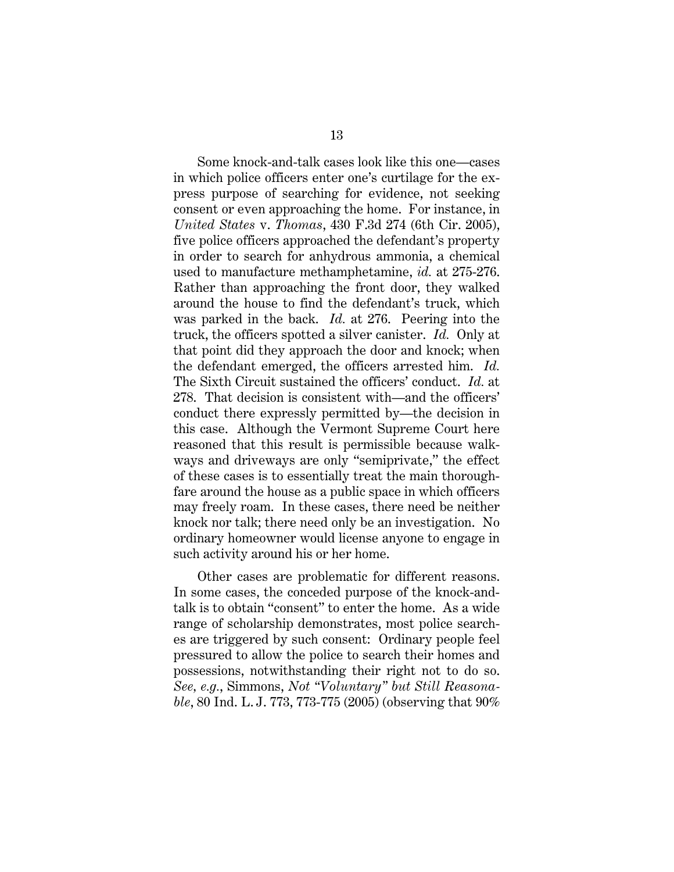Some knock-and-talk cases look like this one—cases in which police officers enter one's curtilage for the express purpose of searching for evidence, not seeking consent or even approaching the home. For instance, in *United States* v. *Thomas*, 430 F.3d 274 (6th Cir. 2005), five police officers approached the defendant's property in order to search for anhydrous ammonia, a chemical used to manufacture methamphetamine, *id.* at 275-276. Rather than approaching the front door, they walked around the house to find the defendant's truck, which was parked in the back. *Id.* at 276. Peering into the truck, the officers spotted a silver canister. *Id.* Only at that point did they approach the door and knock; when the defendant emerged, the officers arrested him. *Id.*  The Sixth Circuit sustained the officers' conduct. *Id.* at 278. That decision is consistent with—and the officers' conduct there expressly permitted by—the decision in this case. Although the Vermont Supreme Court here reasoned that this result is permissible because walkways and driveways are only "semiprivate," the effect of these cases is to essentially treat the main thoroughfare around the house as a public space in which officers may freely roam. In these cases, there need be neither knock nor talk; there need only be an investigation. No ordinary homeowner would license anyone to engage in such activity around his or her home.

Other cases are problematic for different reasons. In some cases, the conceded purpose of the knock-andtalk is to obtain "consent" to enter the home. As a wide range of scholarship demonstrates, most police searches are triggered by such consent: Ordinary people feel pressured to allow the police to search their homes and possessions, notwithstanding their right not to do so. *See, e.g.*, Simmons, *Not "Voluntary" but Still Reasonable*, 80 Ind. L. J. 773, 773-775 (2005) (observing that 90%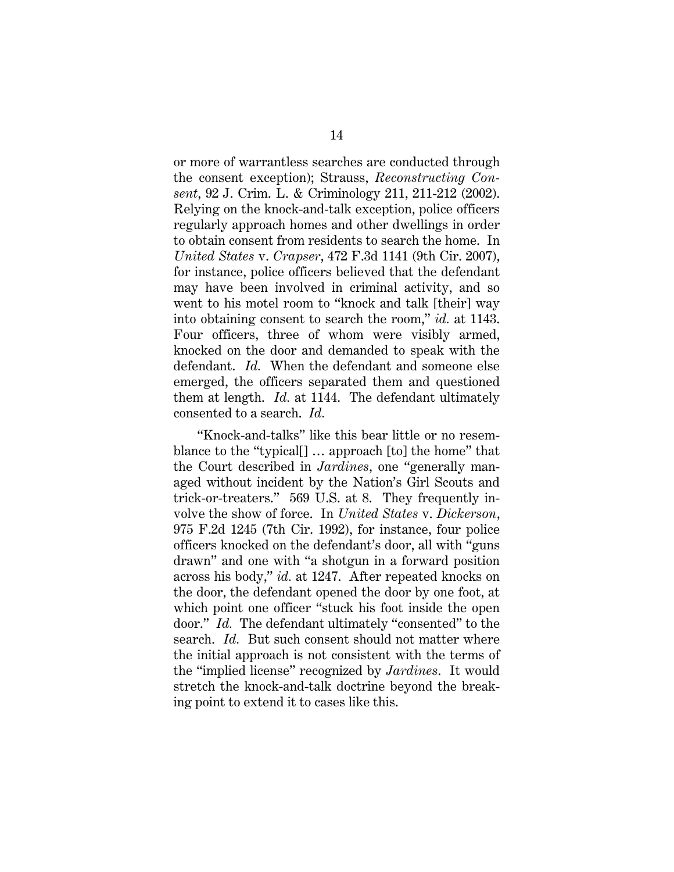or more of warrantless searches are conducted through the consent exception); Strauss, *Reconstructing Consent*, 92 J. Crim. L. & Criminology 211, 211-212 (2002). Relying on the knock-and-talk exception, police officers regularly approach homes and other dwellings in order to obtain consent from residents to search the home. In *United States* v. *Crapser*, 472 F.3d 1141 (9th Cir. 2007), for instance, police officers believed that the defendant may have been involved in criminal activity, and so went to his motel room to "knock and talk [their] way into obtaining consent to search the room," *id.* at 1143. Four officers, three of whom were visibly armed, knocked on the door and demanded to speak with the defendant. *Id.* When the defendant and someone else emerged, the officers separated them and questioned them at length. *Id.* at 1144. The defendant ultimately consented to a search. *Id.*

"Knock-and-talks" like this bear little or no resemblance to the "typical[] … approach [to] the home" that the Court described in *Jardines*, one "generally managed without incident by the Nation's Girl Scouts and trick-or-treaters." 569 U.S. at 8. They frequently involve the show of force. In *United States* v. *Dickerson*, 975 F.2d 1245 (7th Cir. 1992), for instance, four police officers knocked on the defendant's door, all with "guns drawn" and one with "a shotgun in a forward position across his body," *id.* at 1247. After repeated knocks on the door, the defendant opened the door by one foot, at which point one officer "stuck his foot inside the open door." *Id.* The defendant ultimately "consented" to the search. *Id.* But such consent should not matter where the initial approach is not consistent with the terms of the "implied license" recognized by *Jardines*. It would stretch the knock-and-talk doctrine beyond the breaking point to extend it to cases like this.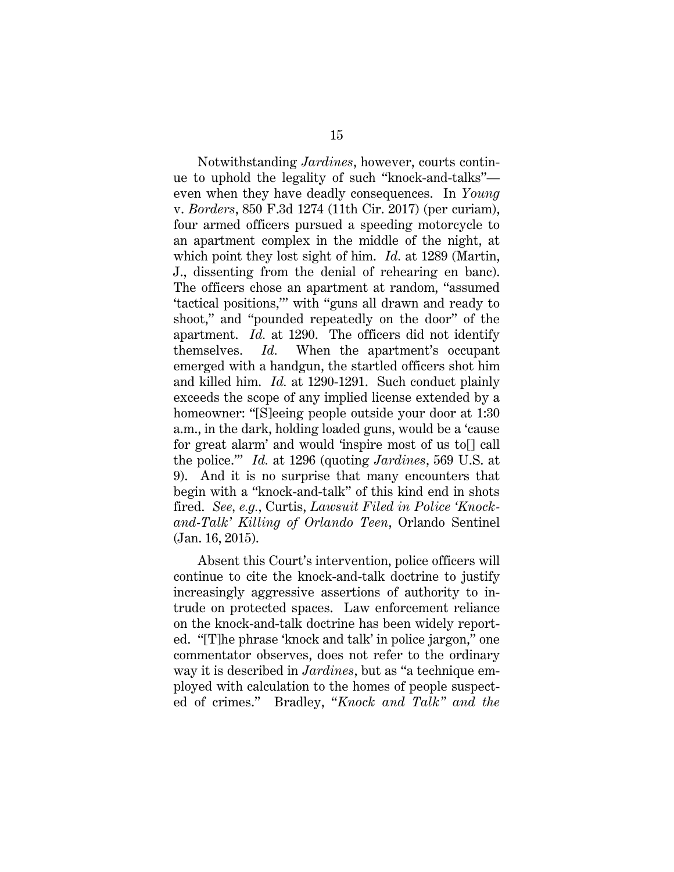Notwithstanding *Jardines*, however, courts continue to uphold the legality of such "knock-and-talks" even when they have deadly consequences. In *Young* v. *Borders*, 850 F.3d 1274 (11th Cir. 2017) (per curiam), four armed officers pursued a speeding motorcycle to an apartment complex in the middle of the night, at which point they lost sight of him. *Id.* at 1289 (Martin, J., dissenting from the denial of rehearing en banc). The officers chose an apartment at random, "assumed 'tactical positions,'" with "guns all drawn and ready to shoot," and "pounded repeatedly on the door" of the apartment. *Id.* at 1290. The officers did not identify themselves. *Id.* When the apartment's occupant emerged with a handgun, the startled officers shot him and killed him. *Id.* at 1290-1291. Such conduct plainly exceeds the scope of any implied license extended by a homeowner: "[S]eeing people outside your door at 1:30 a.m., in the dark, holding loaded guns, would be a 'cause for great alarm' and would 'inspire most of us to[] call the police.'" *Id.* at 1296 (quoting *Jardines*, 569 U.S. at 9). And it is no surprise that many encounters that begin with a "knock-and-talk" of this kind end in shots fired. *See, e.g.*, Curtis, *Lawsuit Filed in Police 'Knockand-Talk' Killing of Orlando Teen*, Orlando Sentinel (Jan. 16, 2015).

Absent this Court's intervention, police officers will continue to cite the knock-and-talk doctrine to justify increasingly aggressive assertions of authority to intrude on protected spaces. Law enforcement reliance on the knock-and-talk doctrine has been widely reported. "[T]he phrase 'knock and talk' in police jargon," one commentator observes, does not refer to the ordinary way it is described in *Jardines*, but as "a technique employed with calculation to the homes of people suspected of crimes." Bradley, "*Knock and Talk" and the*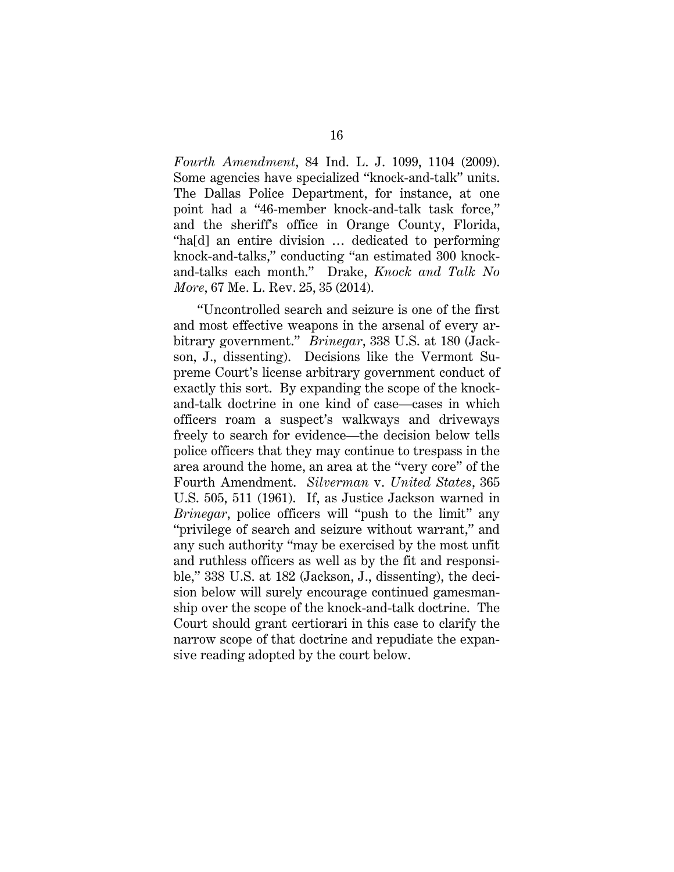*Fourth Amendment*, 84 Ind. L. J. 1099, 1104 (2009). Some agencies have specialized "knock-and-talk" units. The Dallas Police Department, for instance, at one point had a "46-member knock-and-talk task force," and the sheriff's office in Orange County, Florida, "ha[d] an entire division … dedicated to performing knock-and-talks," conducting "an estimated 300 knockand-talks each month." Drake, *Knock and Talk No More*, 67 Me. L. Rev. 25, 35 (2014).

"Uncontrolled search and seizure is one of the first and most effective weapons in the arsenal of every arbitrary government." *Brinegar*, 338 U.S. at 180 (Jackson, J., dissenting). Decisions like the Vermont Supreme Court's license arbitrary government conduct of exactly this sort. By expanding the scope of the knockand-talk doctrine in one kind of case—cases in which officers roam a suspect's walkways and driveways freely to search for evidence—the decision below tells police officers that they may continue to trespass in the area around the home, an area at the "very core" of the Fourth Amendment. *Silverman* v. *United States*, 365 U.S. 505, 511 (1961). If, as Justice Jackson warned in *Brinegar*, police officers will "push to the limit" any "privilege of search and seizure without warrant," and any such authority "may be exercised by the most unfit and ruthless officers as well as by the fit and responsible," 338 U.S. at 182 (Jackson, J., dissenting), the decision below will surely encourage continued gamesmanship over the scope of the knock-and-talk doctrine. The Court should grant certiorari in this case to clarify the narrow scope of that doctrine and repudiate the expansive reading adopted by the court below.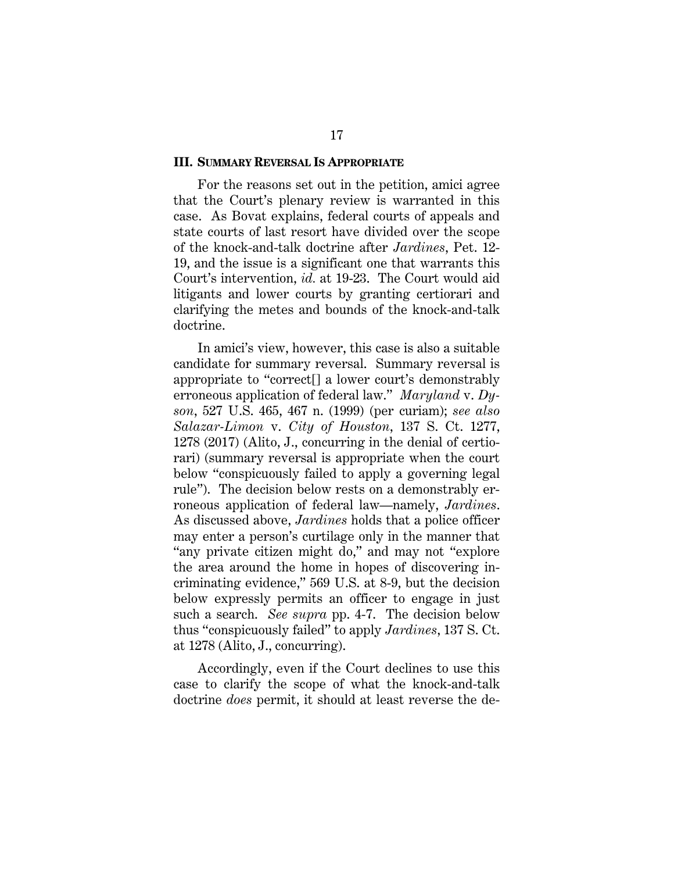#### **III. SUMMARY REVERSAL IS APPROPRIATE**

For the reasons set out in the petition, amici agree that the Court's plenary review is warranted in this case. As Bovat explains, federal courts of appeals and state courts of last resort have divided over the scope of the knock-and-talk doctrine after *Jardines*, Pet. 12- 19, and the issue is a significant one that warrants this Court's intervention, *id.* at 19-23. The Court would aid litigants and lower courts by granting certiorari and clarifying the metes and bounds of the knock-and-talk doctrine.

In amici's view, however, this case is also a suitable candidate for summary reversal. Summary reversal is appropriate to "correct[] a lower court's demonstrably erroneous application of federal law." *Maryland* v. *Dyson*, 527 U.S. 465, 467 n. (1999) (per curiam); *see also Salazar-Limon* v. *City of Houston*, 137 S. Ct. 1277, 1278 (2017) (Alito, J., concurring in the denial of certiorari) (summary reversal is appropriate when the court below "conspicuously failed to apply a governing legal rule"). The decision below rests on a demonstrably erroneous application of federal law—namely, *Jardines*. As discussed above, *Jardines* holds that a police officer may enter a person's curtilage only in the manner that "any private citizen might do," and may not "explore the area around the home in hopes of discovering incriminating evidence," 569 U.S. at 8-9, but the decision below expressly permits an officer to engage in just such a search. *See supra* pp. 4-7. The decision below thus "conspicuously failed" to apply *Jardines*, 137 S. Ct. at 1278 (Alito, J., concurring).

Accordingly, even if the Court declines to use this case to clarify the scope of what the knock-and-talk doctrine *does* permit, it should at least reverse the de